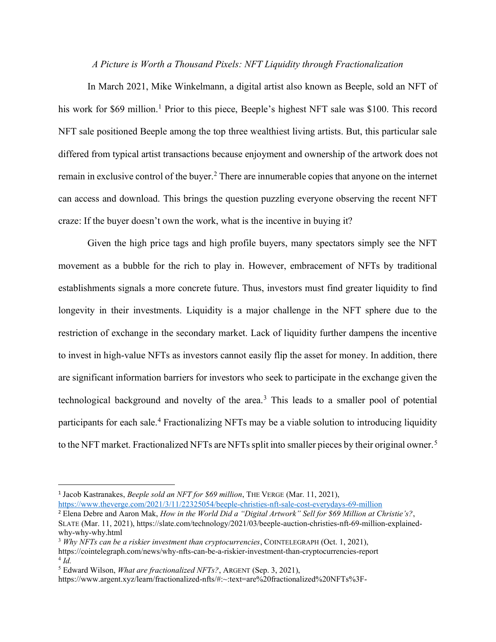## *A Picture is Worth a Thousand Pixels: NFT Liquidity through Fractionalization*

In March 2021, Mike Winkelmann, a digital artist also known as Beeple, sold an NFT of his work for \$69 million.<sup>1</sup> Prior to this piece, Beeple's highest NFT sale was \$100. This record NFT sale positioned Beeple among the top three wealthiest living artists. But, this particular sale differed from typical artist transactions because enjoyment and ownership of the artwork does not remain in exclusive control of the buyer.<sup>2</sup> There are innumerable copies that anyone on the internet can access and download. This brings the question puzzling everyone observing the recent NFT craze: If the buyer doesn't own the work, what is the incentive in buying it?

Given the high price tags and high profile buyers, many spectators simply see the NFT movement as a bubble for the rich to play in. However, embracement of NFTs by traditional establishments signals a more concrete future. Thus, investors must find greater liquidity to find longevity in their investments. Liquidity is a major challenge in the NFT sphere due to the restriction of exchange in the secondary market. Lack of liquidity further dampens the incentive to invest in high-value NFTs as investors cannot easily flip the asset for money. In addition, there are significant information barriers for investors who seek to participate in the exchange given the technological background and novelty of the area.<sup>3</sup> This leads to a smaller pool of potential participants for each sale.<sup>4</sup> Fractionalizing NFTs may be a viable solution to introducing liquidity to the NFT market. Fractionalized NFTs are NFTs split into smaller pieces by their original owner.<sup>5</sup>

<sup>3</sup> *Why NFTs can be a riskier investment than cryptocurrencies*, COINTELEGRAPH (Oct. 1, 2021),

<sup>1</sup> Jacob Kastranakes, *Beeple sold an NFT for \$69 million*, THE VERGE (Mar. 11, 2021), <https://www.theverge.com/2021/3/11/22325054/beeple-christies-nft-sale-cost-everydays-69-million>

<sup>2</sup> Elena Debre and Aaron Mak, *How in the World Did a "Digital Artwork" Sell for \$69 Million at Christie's?*, SLATE (Mar. 11, 2021), https://slate.com/technology/2021/03/beeple-auction-christies-nft-69-million-explainedwhy-why-why.html

https://cointelegraph.com/news/why-nfts-can-be-a-riskier-investment-than-cryptocurrencies-report 4 *Id.*

<sup>5</sup> Edward Wilson, *What are fractionalized NFTs?*, ARGENT (Sep. 3, 2021),

https://www.argent.xyz/learn/fractionalized-nfts/#:~:text=are%20fractionalized%20NFTs%3F-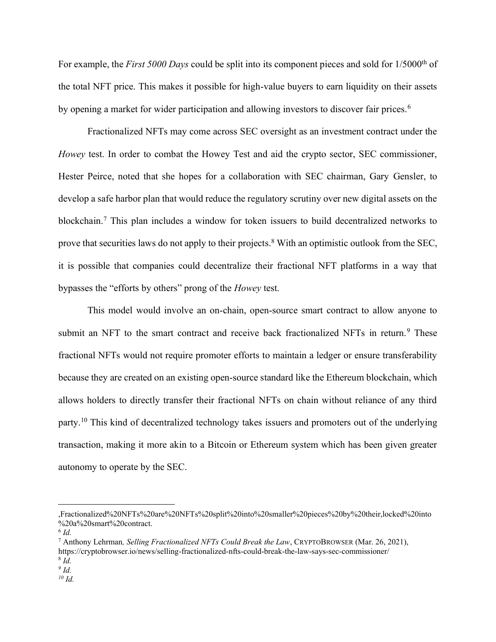For example, the *First 5000 Days* could be split into its component pieces and sold for 1/5000<sup>th</sup> of the total NFT price. This makes it possible for high-value buyers to earn liquidity on their assets by opening a market for wider participation and allowing investors to discover fair prices.<sup>6</sup>

Fractionalized NFTs may come across SEC oversight as an investment contract under the *Howey* test. In order to combat the Howey Test and aid the crypto sector, SEC commissioner, Hester Peirce, noted that she hopes for a collaboration with SEC chairman, Gary Gensler, to develop a safe harbor plan that would reduce the regulatory scrutiny over new digital assets on the blockchain.<sup>7</sup> This plan includes a window for token issuers to build decentralized networks to prove that securities laws do not apply to their projects.<sup>8</sup> With an optimistic outlook from the SEC, it is possible that companies could decentralize their fractional NFT platforms in a way that bypasses the "efforts by others" prong of the *Howey* test.

This model would involve an on-chain, open-source smart contract to allow anyone to submit an NFT to the smart contract and receive back fractionalized NFTs in return.<sup>9</sup> These fractional NFTs would not require promoter efforts to maintain a ledger or ensure transferability because they are created on an existing open-source standard like the Ethereum blockchain, which allows holders to directly transfer their fractional NFTs on chain without reliance of any third party.<sup>10</sup> This kind of decentralized technology takes issuers and promoters out of the underlying transaction, making it more akin to a Bitcoin or Ethereum system which has been given greater autonomy to operate by the SEC.

<sup>,</sup>Fractionalized%20NFTs%20are%20NFTs%20split%20into%20smaller%20pieces%20by%20their,locked%20into %20a%20smart%20contract.

<sup>6</sup> *Id.*

<sup>7</sup> Anthony Lehrman*, Selling Fractionalized NFTs Could Break the Law*, CRYPTOBROWSER (Mar. 26, 2021), https://cryptobrowser.io/news/selling-fractionalized-nfts-could-break-the-law-says-sec-commissioner/

<sup>8</sup> *Id.*

*<sup>9</sup> Id.*

*<sup>10</sup> Id.*